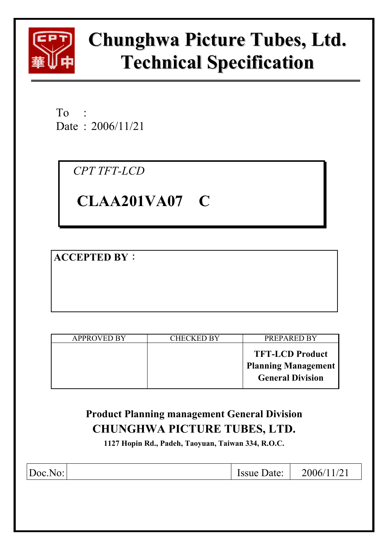

# **Chunghwa Picture Tubes, Ltd. Technical Specification**

 $To$ Date : 2006/11/21

*CPT TFT-LCD* 

# **CLAA201VA07 C**

**ACCEPTED BY:** 

| <b>APPROVED BY</b> | CHECKED BY | PREPARED BY                                                                     |
|--------------------|------------|---------------------------------------------------------------------------------|
|                    |            | <b>TFT-LCD Product</b><br><b>Planning Management</b><br><b>General Division</b> |

## **Product Planning management General Division CHUNGHWA PICTURE TUBES, LTD.**

**1127 Hopin Rd., Padeh, Taoyuan, Taiwan 334, R.O.C.** 

| Doc.No: |  | <b>Issue Date:</b> $\vert 2006/11/21 \vert$ |
|---------|--|---------------------------------------------|
|         |  |                                             |
|         |  |                                             |
|         |  |                                             |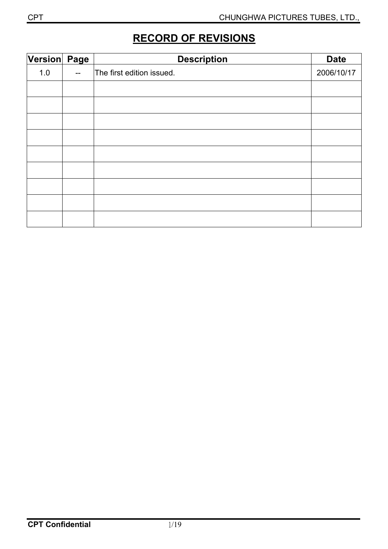## **RECORD OF REVISIONS**

| Version Page |     | <b>Description</b>        | <b>Date</b> |
|--------------|-----|---------------------------|-------------|
| 1.0          | $-$ | The first edition issued. | 2006/10/17  |
|              |     |                           |             |
|              |     |                           |             |
|              |     |                           |             |
|              |     |                           |             |
|              |     |                           |             |
|              |     |                           |             |
|              |     |                           |             |
|              |     |                           |             |
|              |     |                           |             |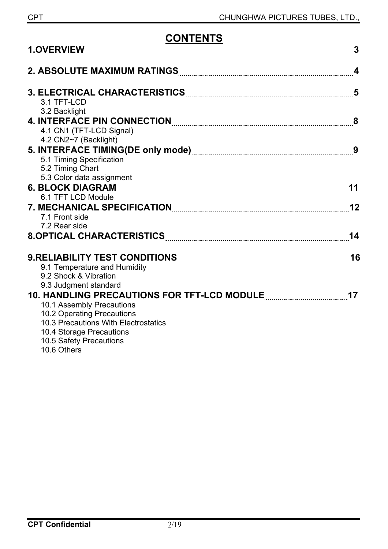# **CONTENTS**

| <b>1.OVERVIEW</b>                                   |                  |
|-----------------------------------------------------|------------------|
|                                                     | $\boldsymbol{4}$ |
| 3.1 TFT-LCD                                         |                  |
| 3.2 Backlight                                       |                  |
|                                                     |                  |
| 4.1 CN1 (TFT-LCD Signal)                            |                  |
| 4.2 CN2~7 (Backlight)                               |                  |
|                                                     |                  |
| 5.1 Timing Specification                            |                  |
| 5.2 Timing Chart                                    |                  |
| 5.3 Color data assignment                           |                  |
|                                                     | 11               |
| 6.1 TFT LCD Module                                  |                  |
|                                                     | 12               |
| 7.1 Front side                                      |                  |
| 7.2 Rear side                                       |                  |
|                                                     | 14               |
|                                                     | 16               |
| 9.1 Temperature and Humidity                        |                  |
| 9.2 Shock & Vibration                               |                  |
| 9.3 Judgment standard                               |                  |
|                                                     |                  |
| 10.1 Assembly Precautions                           |                  |
| 10.2 Operating Precautions                          |                  |
| 10.3 Precautions With Electrostatics                |                  |
| 10.4 Storage Precautions<br>10.5 Safety Precautions |                  |
| 10.6 Others                                         |                  |
|                                                     |                  |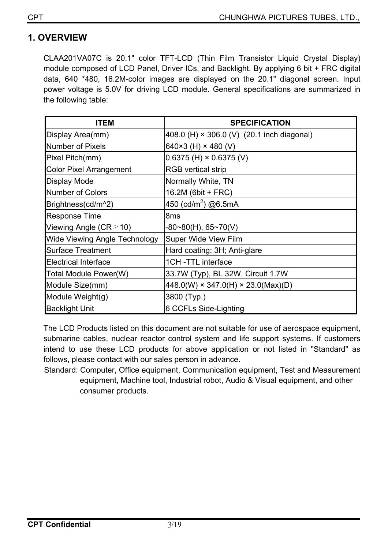## **1. OVERVIEW**

CLAA201VA07C is 20.1" color TFT-LCD (Thin Film Transistor Liquid Crystal Display) module composed of LCD Panel, Driver ICs, and Backlight. By applying 6 bit + FRC digital data, 640 \*480, 16.2M-color images are displayed on the 20.1" diagonal screen. Input power voltage is 5.0V for driving LCD module. General specifications are summarized in the following table:

| <b>ITEM</b>                          | <b>SPECIFICATION</b>                           |
|--------------------------------------|------------------------------------------------|
| Display Area(mm)                     | 408.0 (H) × 306.0 (V) (20.1 inch diagonal)     |
| <b>Number of Pixels</b>              | 640×3 (H) × 480 (V)                            |
| Pixel Pitch(mm)                      | $0.6375$ (H) $\times$ 0.6375 (V)               |
| <b>Color Pixel Arrangement</b>       | <b>RGB</b> vertical strip                      |
| <b>Display Mode</b>                  | Normally White, TN                             |
| <b>Number of Colors</b>              | 16.2M (6bit + FRC)                             |
| Brightness(cd/m^2)                   | 450 (cd/m <sup>2</sup> ) @6.5mA                |
| <b>Response Time</b>                 | 8 <sub>ms</sub>                                |
| Viewing Angle ( $CR \ge 10$ )        | -80~80(H), 65~70(V)                            |
| <b>Wide Viewing Angle Technology</b> | Super Wide View Film                           |
| <b>Surface Treatment</b>             | Hard coating: 3H; Anti-glare                   |
| <b>Electrical Interface</b>          | 1CH-TTL interface                              |
| Total Module Power(W)                | 33.7W (Typ), BL 32W, Circuit 1.7W              |
| Module Size(mm)                      | $448.0(W) \times 347.0(H) \times 23.0(Max)(D)$ |
| Module Weight(g)                     | 3800 (Typ.)                                    |
| <b>Backlight Unit</b>                | 6 CCFLs Side-Lighting                          |

The LCD Products listed on this document are not suitable for use of aerospace equipment, submarine cables, nuclear reactor control system and life support systems. If customers intend to use these LCD products for above application or not listed in "Standard" as follows, please contact with our sales person in advance.

Standard: Computer, Office equipment, Communication equipment, Test and Measurement equipment, Machine tool, Industrial robot, Audio & Visual equipment, and other consumer products.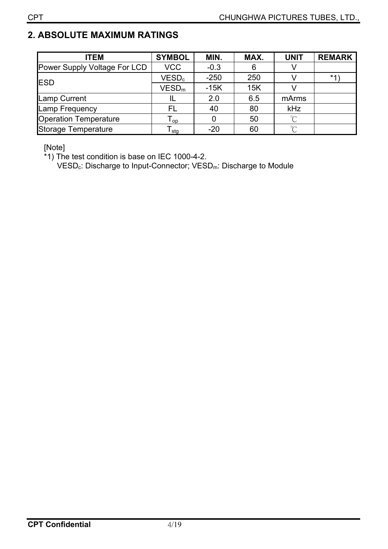## **2. ABSOLUTE MAXIMUM RATINGS**

| <b>ITEM</b>                  | <b>SYMBOL</b>               | MIN.   | MAX. | <b>UNIT</b>  | <b>REMARK</b> |
|------------------------------|-----------------------------|--------|------|--------------|---------------|
| Power Supply Voltage For LCD | <b>VCC</b>                  | $-0.3$ | 6    | V            |               |
| <b>IESD</b>                  | VESD <sub>c</sub>           | $-250$ | 250  |              | *1'           |
|                              | VESD <sub>m</sub>           | $-15K$ | 15K  |              |               |
| <b>Lamp Current</b>          | ΙL                          | 2.0    | 6.5  | mArms        |               |
| Lamp Frequency               | FL                          | 40     | 80   | kHz          |               |
| <b>Operation Temperature</b> | $\mathsf{T}_{\mathsf{op}}$  |        | 50   | $^{\circ}$ C |               |
| Storage Temperature          | $\mathsf{r}_{\mathsf{stg}}$ | $-20$  | 60   | $\gamma$     |               |

[Note]

\*1) The test condition is base on IEC 1000-4-2.

VESD<sub>c</sub>: Discharge to Input-Connector; VESD<sub>m</sub>: Discharge to Module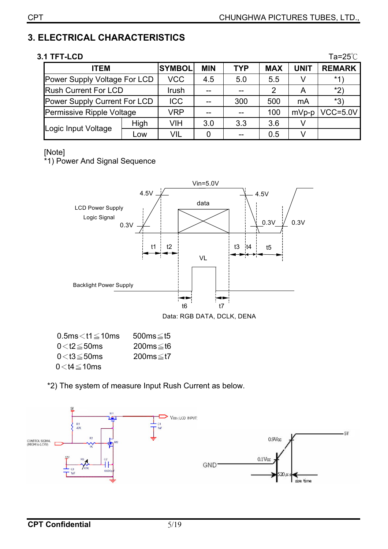## **3. ELECTRICAL CHARACTERISTICS**

#### **3.1 TFT-LCD** Ta=25°C

| <b>ITEM</b>                  |      | <b>SYMBOL</b> | <b>MIN</b> | <b>TYP</b> | <b>MAX</b> | <b>UNIT</b> | <b>REMARK</b> |
|------------------------------|------|---------------|------------|------------|------------|-------------|---------------|
| Power Supply Voltage For LCD |      | <b>VCC</b>    | 4.5        | 5.0        | 5.5        |             | $*1$          |
| <b>Rush Current For LCD</b>  |      | Irush         |            | $-$        | 2          |             | *2)           |
| Power Supply Current For LCD |      | <b>ICC</b>    |            | 300        | 500        | mA          | *3)           |
| Permissive Ripple Voltage    |      | <b>VRP</b>    |            | --         | 100        | $mVp-p$     | $VCC = 5.0V$  |
|                              | High | VIH           | 3.0        | 3.3        | 3.6        |             |               |
| Logic Input Voltage          | Low  | VIL           |            |            | 0.5        |             |               |

#### [Note]

\*1) Power And Signal Sequence



Data: RGB DATA, DCLK, DENA

| $0.5$ ms $<$ t1 $\leq$ 10ms | $500ms \leq t5$ |
|-----------------------------|-----------------|
| $0\!<\!t$ 2 $\leq$ 50ms     | 200ms≤t6        |
| 0 $<$ t3 $\leq$ 50ms        | 200ms≤t7        |
| $0<$ t4 $\leq$ 10ms         |                 |

\*2) The system of measure Input Rush Current as below.

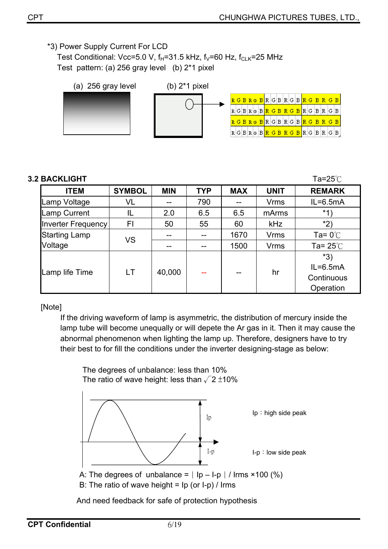\*3) Power Supply Current For LCD

Test Conditional: Vcc=5.0 V,  $f_H$ =31.5 kHz,  $f_V$ =60 Hz,  $f_{CLK}$ =25 MHz Test pattern: (a) 256 gray level (b) 2\*1 pixel



#### **3.2 BACKLIGHT** Tamps and the contract of the contract of the contract of the contract of the contract of the contract of the contract of the contract of the contract of the contract of the contract of the contract of the

| <b>ITEM</b>               | <b>SYMBOL</b> | <b>MIN</b> | <b>TYP</b> | <b>MAX</b> | <b>UNIT</b> | <b>REMARK</b>                                    |
|---------------------------|---------------|------------|------------|------------|-------------|--------------------------------------------------|
| Lamp Voltage              | VL            |            | 790        |            | <b>Vrms</b> | $IL = 6.5mA$                                     |
| <b>Lamp Current</b>       | IL            | 2.0        | 6.5        | 6.5        | mArms       | $*1)$                                            |
| <b>Inverter Frequency</b> | FI            | 50         | 55         | 60         | <b>kHz</b>  | $*2)$                                            |
| <b>Starting Lamp</b>      | <b>VS</b>     |            |            | 1670       | <b>Vrms</b> | Ta= $0^{\circ}$ C                                |
| Voltage                   |               | --         | --         | 1500       | <b>Vrms</b> | Ta= $25^{\circ}$ C                               |
| Lamp life Time            | LT.           | 40,000     |            |            | hr          | $*3)$<br>$IL = 6.5mA$<br>Continuous<br>Operation |

#### [Note]

If the driving waveform of lamp is asymmetric, the distribution of mercury inside the lamp tube will become unequally or will depete the Ar gas in it. Then it may cause the abnormal phenomenon when lighting the lamp up. Therefore, designers have to try their best to for fill the conditions under the inverter designing-stage as below:



B: The ratio of wave height =  $lp$  (or  $l-p$ ) / Irms

And need feedback for safe of protection hypothesis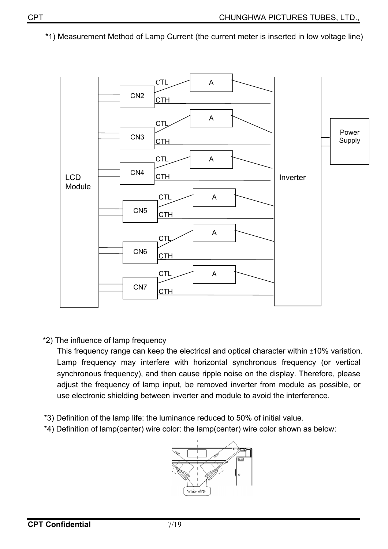\*1) Measurement Method of Lamp Current (the current meter is inserted in low voltage line)



\*2) The influence of lamp frequency

This frequency range can keep the electrical and optical character within  $\pm 10\%$  variation. Lamp frequency may interfere with horizontal synchronous frequency (or vertical synchronous frequency), and then cause ripple noise on the display. Therefore, please adjust the frequency of lamp input, be removed inverter from module as possible, or use electronic shielding between inverter and module to avoid the interference.

- \*3) Definition of the lamp life: the luminance reduced to 50% of initial value.
- \*4) Definition of lamp(center) wire color: the lamp(center) wire color shown as below:

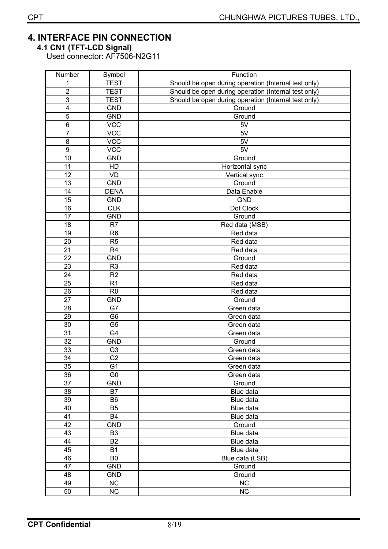## **4. INTERFACE PIN CONNECTION**

**4.1 CN1 (TFT-LCD Signal)** 

Used connector: AF7506-N2G11

| Number                  | Symbol         | Function                                             |  |  |  |
|-------------------------|----------------|------------------------------------------------------|--|--|--|
| 1                       | <b>TEST</b>    | Should be open during operation (Internal test only) |  |  |  |
| $\overline{2}$          | <b>TEST</b>    | Should be open during operation (Internal test only) |  |  |  |
| 3                       | <b>TEST</b>    | Should be open during operation (Internal test only) |  |  |  |
| $\overline{\mathbf{4}}$ | <b>GND</b>     | Ground                                               |  |  |  |
| 5                       | <b>GND</b>     | Ground                                               |  |  |  |
| 6                       | <b>VCC</b>     | 5V                                                   |  |  |  |
| $\overline{7}$          | <b>VCC</b>     | 5V                                                   |  |  |  |
| 8                       | <b>VCC</b>     | 5V                                                   |  |  |  |
| $\boldsymbol{9}$        | <b>VCC</b>     | 5V                                                   |  |  |  |
| 10                      | <b>GND</b>     | Ground                                               |  |  |  |
| 11                      | HD             | Horizontal sync                                      |  |  |  |
| 12                      | VD             | Vertical sync                                        |  |  |  |
| 13                      | <b>GND</b>     | Ground                                               |  |  |  |
| 14                      | <b>DENA</b>    | Data Enable                                          |  |  |  |
| $\overline{15}$         | <b>GND</b>     | <b>GND</b>                                           |  |  |  |
| 16                      | <b>CLK</b>     | Dot Clock                                            |  |  |  |
| 17                      | <b>GND</b>     | Ground                                               |  |  |  |
| 18                      | R7             | Red data (MSB)                                       |  |  |  |
| 19                      | R <sub>6</sub> | Red data                                             |  |  |  |
| 20                      | R <sub>5</sub> | Red data                                             |  |  |  |
| 21                      | R <sub>4</sub> | Red data                                             |  |  |  |
| 22                      | <b>GND</b>     | Ground                                               |  |  |  |
| 23                      | R <sub>3</sub> | Red data                                             |  |  |  |
| 24                      | R <sub>2</sub> | Red data                                             |  |  |  |
| 25                      | R <sub>1</sub> | Red data                                             |  |  |  |
| 26                      | R <sub>0</sub> | Red data                                             |  |  |  |
| 27                      | <b>GND</b>     | Ground                                               |  |  |  |
| 28                      | G7             | Green data                                           |  |  |  |
| 29                      | G <sub>6</sub> | Green data                                           |  |  |  |
| 30                      | G <sub>5</sub> | Green data                                           |  |  |  |
| 31                      | G4             | Green data                                           |  |  |  |
| 32                      | <b>GND</b>     | Ground                                               |  |  |  |
| 33                      | G <sub>3</sub> | Green data                                           |  |  |  |
| 34                      | G <sub>2</sub> | Green data                                           |  |  |  |
| 35                      | G <sub>1</sub> | Green data                                           |  |  |  |
| 36                      | G <sub>0</sub> | Green data                                           |  |  |  |
| 37                      | <b>GND</b>     | Ground                                               |  |  |  |
| 38                      | <b>B7</b>      | Blue data                                            |  |  |  |
| 39                      | B <sub>6</sub> | Blue data                                            |  |  |  |
| 40                      | B <sub>5</sub> | Blue data                                            |  |  |  |
| 41                      | B4             | Blue data                                            |  |  |  |
| 42                      | <b>GND</b>     | Ground                                               |  |  |  |
| 43                      | B <sub>3</sub> | Blue data                                            |  |  |  |
| 44                      | <b>B2</b>      | Blue data                                            |  |  |  |
| 45                      | <b>B1</b>      | Blue data                                            |  |  |  |
| 46                      | B <sub>0</sub> | Blue data (LSB)                                      |  |  |  |
| 47                      | <b>GND</b>     | Ground                                               |  |  |  |
| 48                      | <b>GND</b>     | Ground                                               |  |  |  |
| 49                      | NC             | <b>NC</b>                                            |  |  |  |
| 50                      | <b>NC</b>      | NC                                                   |  |  |  |
|                         |                |                                                      |  |  |  |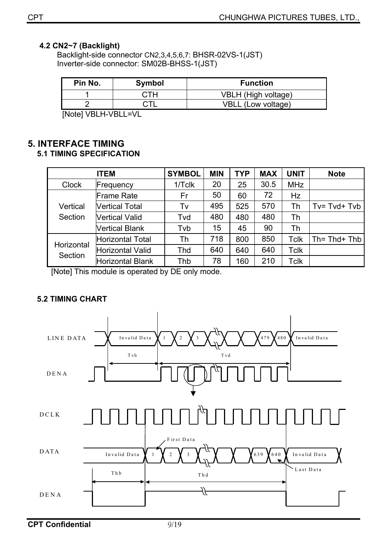#### **4.2 CN2~7 (Backlight)**

Backlight-side connector CN2,3,4,5,6,7: BHSR-02VS-1(JST) Inverter-side connector: SM02B-BHSS-1(JST)

| Pin No.                                                                                                                                                                                                                                                                                                                                   | Symbol | <b>Function</b>       |
|-------------------------------------------------------------------------------------------------------------------------------------------------------------------------------------------------------------------------------------------------------------------------------------------------------------------------------------------|--------|-----------------------|
|                                                                                                                                                                                                                                                                                                                                           | ∩:ТН   | VBLH (High voltage)   |
|                                                                                                                                                                                                                                                                                                                                           |        | VBLL<br>(Low voltage) |
| $\mathbf{r}$ , $\mathbf{r}$ , $\mathbf{r}$ , $\mathbf{r}$ , $\mathbf{r}$ , $\mathbf{r}$ , $\mathbf{r}$ , $\mathbf{r}$ , $\mathbf{r}$ , $\mathbf{r}$ , $\mathbf{r}$ , $\mathbf{r}$ , $\mathbf{r}$ , $\mathbf{r}$ , $\mathbf{r}$ , $\mathbf{r}$ , $\mathbf{r}$ , $\mathbf{r}$ , $\mathbf{r}$ , $\mathbf{r}$ , $\mathbf{r}$ , $\mathbf{r}$ , |        |                       |

[Note] VBLH-VBLL=VL

#### **5. INTERFACE TIMING 5.1 TIMING SPECIFICATION**

|                       | <b>ITEM</b>           | <b>SYMBOL</b> | <b>MIN</b> | <b>TYP</b> | <b>MAX</b> | <b>UNIT</b> | <b>Note</b>      |
|-----------------------|-----------------------|---------------|------------|------------|------------|-------------|------------------|
| <b>Clock</b>          | Frequency             | 1/Tclk        | 20         | 25         | 30.5       | <b>MHz</b>  |                  |
|                       | <b>Frame Rate</b>     | Fr            | 50         | 60         | 72         | Hz          |                  |
| Vertical              | <b>Vertical Total</b> | Tv            | 495        | 525        | 570        | Th          | $Tv = Tvd + Tvb$ |
| Section               | <b>Vertical Valid</b> | Tvd           | 480        | 480        | 480        | Th          |                  |
|                       | <b>Vertical Blank</b> | Tvb           | 15         | 45         | 90         | Th          |                  |
|                       | Horizontal Total      | Th            | 718        | 800        | 850        | <b>Tclk</b> | Th= Thd+ Thb     |
| Horizontal<br>Section | Horizontal Valid      | <b>Thd</b>    | 640        | 640        | 640        | <b>Tclk</b> |                  |
|                       | Horizontal Blank      | Thb           | 78         | 160        | 210        | <b>Tclk</b> |                  |

[Note] This module is operated by DE only mode.

## **5.2 TIMING CHART**

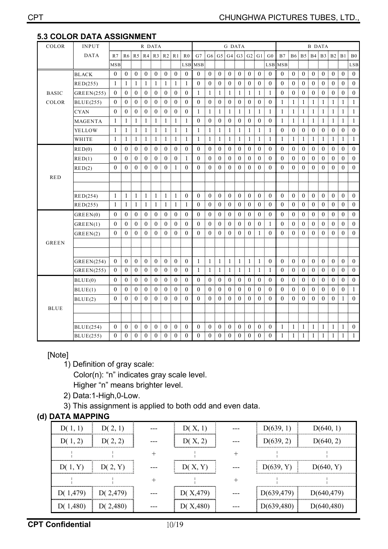| ບ.ບ<br>vv<br>COLOR | UR<br><b>INPUT</b> | <u>UMIM MUUIVIVILIVI</u><br>R DATA |                |                |                               | G DATA           |                  |                  |                      |                 | B DATA                        |                                                                     |                  |                  |                   |                  |                  |                     |                  |                   |                     |                  |                        |                  |                |
|--------------------|--------------------|------------------------------------|----------------|----------------|-------------------------------|------------------|------------------|------------------|----------------------|-----------------|-------------------------------|---------------------------------------------------------------------|------------------|------------------|-------------------|------------------|------------------|---------------------|------------------|-------------------|---------------------|------------------|------------------------|------------------|----------------|
|                    | <b>DATA</b>        | $R7$ :                             |                |                | $R6$ $R5$ $R4$ $R3$ $R2$ $R1$ |                  |                  |                  | R <sub>0</sub>       |                 |                               | $G7 \cdot G6 \cdot G5 \cdot G4 \cdot G3 \cdot G2 \cdot G1 \cdot G0$ |                  |                  |                   |                  |                  | B7                  |                  | B6 B5 B4 B3 B2 B1 |                     |                  |                        |                  | B <sub>0</sub> |
|                    |                    | MSB.                               |                |                |                               |                  |                  |                  | mmm                  | LSB MSB         |                               |                                                                     |                  |                  |                   |                  | <br>LSB          | mmmmé<br><b>MSB</b> |                  |                   |                     |                  |                        |                  | mmun<br>LSB    |
|                    | <b>BLACK</b>       | $\bf{0}$                           | $\overline{0}$ | 0 <sup>5</sup> | $\mathbf{0}$                  | $\overline{0}$   | $\theta$         | $\bf{0}$         | $\mathbf{0}$         | $\Omega$        | I<br>$\mathbf{0}$             | $\overline{0}$                                                      | $\mathbf{0}$     | $\overline{0}$   | $\mathbf{0}$      | $\mathbf{0}$     | $\overline{0}$   | $\mathbf{0}$        | $\bf{0}$         | $\overline{0}$    | 0 <sup>1</sup>      | $\overline{0}$   | $\overline{0}$         | $\bf{0}$         | $\theta$       |
|                    | RED(255)           | 1                                  | -1             | -1             |                               | -1               | -1               | -1               | 1                    | $\Omega$        | ÷<br>$\Omega$                 | $\left($                                                            | $\theta$         | $\left($         | $\left($          | $\left($         | $\Omega$         | $\theta$            | $\theta$         | $\theta$          | $\Omega$<br>÷       | $\Omega$         | $\theta$               | $\Omega$         | $\theta$       |
| <b>BASIC</b>       | GREFN(255)         | $\bf{0}$                           | $\theta$       | $\theta$       | $\theta$                      | $\Omega$         | $\mathbf{0}$     | $\theta$         | mm<br>$\mathbf{0}$   | 1               | -1                            | 1                                                                   | 1                | 1                | 1                 | 1                | 1                | $\mathbf{0}$        | $\mathbf{0}$     | $\Omega$          | $\theta$<br>Ē       | $\mathbf{0}$     | $\theta$               | $\mathbf{0}$     | $\theta$       |
| COLOR              | <b>BLUE(255)</b>   | $\bf{0}$                           | $\bf{0}$       | $\theta$       | $\boldsymbol{0}$              | $\boldsymbol{0}$ | $\boldsymbol{0}$ | $\boldsymbol{0}$ | $\boldsymbol{0}$     | 0               | $\bf{0}$                      | 0                                                                   | $\boldsymbol{0}$ | $\boldsymbol{0}$ | $\bf{0}$          | $\bf{0}$         | $\bf{0}$         | 1                   | 1                | -1                | 1                   | 1                | -1                     | 1                |                |
|                    | <b>CYAN</b>        | $\theta$                           | $\theta$       | $\theta$       | $\theta$                      | $\theta$         | $\theta$         | $\theta$         | $\theta$             | 1               | -1                            |                                                                     | -1               | -1               | -1                | -1               |                  | -1                  | 1                | -1                |                     |                  | -1                     |                  |                |
|                    | <b>MAGENTA</b>     | 1                                  | -1             |                |                               | 1                | 1                | $\mathbf{1}$     | -1<br>               | 0<br>Ĩ          | $\theta$                      | $\left( 0 \right)$                                                  | $\theta$         | $\left($         | $\theta$          | $\theta$         | $\theta$         | 1                   | 1                |                   |                     |                  | 1                      |                  |                |
|                    | YELLOW             | 1                                  | -1             |                | 1                             | 1                | 1                | -1               | -1                   | 1               | -1                            | 1                                                                   | -1               | 1                | 1                 | -1               | 1                | $\boldsymbol{0}$    | $\mathbf{0}$     | $\bf{0}$          | $\bf{0}$            | $\boldsymbol{0}$ | $\mathbf{0}$           | $\bf{0}$         | $\theta$       |
|                    | WHITE              | 1                                  | -1             | Ē<br>-1        | -1                            | 1                | -1               | -1               | 1                    | 1               | I<br>-1                       | 1                                                                   | 1                | -1               | 1<br>I            | -1               | 1                | 1                   | 1                | 1                 | ÷<br>-1             | -1               | 1                      | -1               |                |
|                    | RED(0)             | $\theta$                           | $\theta$       | $\theta$<br>÷  | $\theta$                      | $\theta$         | $\theta$         | $\theta$         | $\mathbf{0}$         | 0<br>Ĩ          | $\theta$                      | $\mathbf{0}$                                                        | $\bf{0}$         | $\theta$         | $\theta$<br>÷     | $\theta$         | $\theta$         | $\theta$            | $\theta$         | $\theta$          | ÷<br>$\theta$       | $\theta$         | $\theta$               | $\theta$         | $\theta$       |
|                    | RED(1)             | $\Omega$                           | $\mathbf{0}$   | $\theta$<br>÷  | $\theta$                      | $\theta$         | $\mathbf{0}$     | $\overline{0}$   | 1                    | $\overline{0}$  | $\mathbf{0}$                  | $\overline{0}$                                                      | $\bf{0}$         | $\overline{0}$   | $\mathbf{0}$      | $\mathbf{0}$     | $\mathbf{0}$     | $\mathbf{0}$        | $\overline{0}$   | $\theta$          | $\theta$<br>÷       | $\theta$         | $\overline{0}$         | $\overline{0}$   | $\theta$       |
|                    | RED(2)             | $\theta$                           | $\mathbf{0}$   | Ē<br>$\theta$  | $\mathbf{0}$                  | $\overline{0}$   | $\boldsymbol{0}$ | 1                | $\mathbf{0}$         | 0               | $\Omega$                      | $\theta$                                                            | $\boldsymbol{0}$ | $\bf{0}$         | $\theta$          | $\mathbf{0}$     | $\theta$         | $\theta$            | $\bf{0}$         | $\mathbf{0}$      | Ī<br>$\theta$       | $\mathbf{0}$     | $\mathbf{0}$           | $\boldsymbol{0}$ | $\theta$       |
| <b>RED</b>         |                    |                                    |                |                |                               |                  |                  |                  |                      |                 |                               |                                                                     |                  |                  |                   |                  |                  |                     |                  |                   |                     |                  |                        |                  |                |
|                    |                    |                                    |                |                |                               |                  |                  |                  |                      |                 |                               |                                                                     |                  |                  |                   |                  |                  |                     |                  |                   |                     |                  |                        |                  |                |
|                    | RED(254)           | $\mathbf{1}$                       | -1             | ÷<br>-1        | $\mathbf{1}$<br>ŧ             | -1               | -1               | 1                | $\theta$             | $\theta$        | $\theta$                      | $\overline{0}$                                                      | $\boldsymbol{0}$ | $\overline{0}$   | $\theta$          | $\mathbf{0}$     | $\left($         | $\theta$            | $\overline{0}$   | $\mathbf{0}$      | $\theta$<br>Ŧ.      | $\overline{0}$   | $\overline{0}$         | $\boldsymbol{0}$ | $\theta$       |
|                    | RED(255)           | 1                                  | -1             |                | 1                             | 1                | 1                | 1                | 1                    | 0               | $\mathbf{0}$                  | $\boldsymbol{0}$                                                    | $\bf{0}$         | $\mathbf{0}$     | $\overline{0}$    | $\boldsymbol{0}$ | $\boldsymbol{0}$ | $\mathbf{0}$        | $\mathbf{0}$     | $\theta$          | $\overline{0}$<br>I | $\mathbf{0}$     | $\boldsymbol{0}$       | $\mathbf{0}$     | 0              |
|                    | GREEN(0)           | $\Omega$                           | $\theta$       | ł<br>$\theta$  | $\theta$                      | $\theta$         | $\mathbf{0}$     | $\theta$         | $\mathbf{0}$         | $\theta$        | $\theta$                      | $\mathbf{0}$                                                        | $\mathbf{0}$     | $\theta$         | $\mathbf{0}$      | $\overline{0}$   | $\theta$         | $\theta$            | $\overline{0}$   | $\theta$          | ÷<br>$\theta$       | $\overline{0}$   | $\overline{0}$         | $\mathbf{0}$     | $\theta$       |
|                    | GREFN(1)           | $\overline{0}$                     | $\theta$       | $\theta$<br>I  | $\theta$                      | $\theta$         | $\mathbf{0}$     | $\mathbf{0}$     | $\boldsymbol{0}$     | $\overline{0}$  | $\theta$                      | $\overline{0}$                                                      | $\boldsymbol{0}$ | $\overline{0}$   | $\theta$          | $\mathbf{0}$     | 1                | $\mathbf{0}$        | $\overline{0}$   | $\theta$          | ł<br>$\theta$       | $\theta$         | $\overline{0}$         | $\overline{0}$   | $\theta$       |
|                    | GREEN(2)           | $\overline{0}$                     | $\mathbf{0}$   | $\theta$       | $\theta$                      | 0                | $\mathbf{0}$     | $\theta$         | $\mathbf{0}$<br>mmun | 0<br>mmunëmmun  | $\boldsymbol{0}$              | $\mathbf{0}$                                                        | $\theta$<br>     | 0                | $\bf{0}$          | 1                | $\theta$         | $\theta$<br>umumi   | $\mathbf{0}$<br> | $\mathbf{0}$      | $\theta$            | $\mathbf{0}$     | $\mathbf{0}$           | $\mathbf{0}$     | 0              |
| <b>GREEN</b>       |                    |                                    |                |                |                               |                  |                  |                  |                      |                 |                               |                                                                     |                  |                  |                   |                  |                  |                     |                  |                   |                     |                  |                        |                  |                |
|                    |                    |                                    |                |                |                               |                  |                  |                  |                      |                 |                               |                                                                     |                  |                  |                   |                  |                  |                     |                  |                   |                     |                  |                        |                  |                |
|                    | GREEN(254)         | $\theta$                           | $\theta$       | ÷<br>$\theta$  | $\theta$                      | $\theta$         | $\boldsymbol{0}$ | $\theta$         | $\mathbf{0}$         | 1               | I<br>$\overline{\phantom{a}}$ | 1                                                                   | -1               | -1               | $\mathbf{1}$<br>ł | 1                | $\theta$         | $\theta$            | $\theta$         | $\theta$          | ÷<br>$\theta$       | $\overline{0}$   | $\mathbf{0}$           | $\theta$         | $\theta$       |
|                    | GREEN(255)         | $\overline{0}$                     | $\mathbf{0}$   | $\overline{0}$ | $\bf{0}$                      | $\bf{0}$         | $\overline{0}$   | $\mathbf{0}$     | $\mathbf{0}$         | 1               | -1                            | 1                                                                   | -1               | 1                | 1                 | -1               | 1                | $\bf{0}$            | $\boldsymbol{0}$ | $\mathbf{0}$      | $\bf{0}$<br>Ī       | $\bf{0}$         | $\bf{0}$               | $\boldsymbol{0}$ | 0              |
|                    | BLUE(0)            | $\Omega$                           | $\theta$       | ÷<br>$\Omega$  | $\theta$                      | $\theta$         | $\theta$<br>Ŧ    | $\theta$         | $\theta$             | $\theta$        | $\Omega$                      | $\theta$                                                            | $\theta$         | $\Omega$         | $\theta$          | $\theta$         | $\Omega$         | $\Omega$            | $\theta$         | $\theta$          | ÷<br>$\Omega$       | $\theta$         | $\theta$               | $\theta$         | $\Omega$       |
|                    | BLUE(1)            | $\overline{0}$                     | $\mathbf{0}$   | $\theta$<br>÷  | $\mathbf{0}$                  | $\mathbf{0}$     | $\mathbf{0}$     | $\overline{0}$   | $\mathbf{0}$         | $\mathbf{0}$    | $\mathbf{0}$<br>Ē             | $\overline{0}$                                                      | $\mathbf{0}$     | $\overline{0}$   | $\mathbf{0}$<br>š | $\mathbf{0}$     | $\mathbf{0}$     | $\theta$            | $\mathbf{0}$     | $\mathbf{0}$      | $\theta$<br>÷       | $\mathbf{0}$     | $\overline{0}$         | $\overline{0}$   | -1             |
|                    | BLUE(2)            | $\bf{0}$                           | $\mathbf{0}$   | $\Omega$       | $\theta$                      | 0                | $\bf{0}$         | $\theta$         | $\mathbf{0}$<br>     | 0<br>           | $\Omega$                      | $\mathbf{0}$                                                        | $\boldsymbol{0}$ | 0                | $\bf{0}$          | $\bf{0}$         | $\Omega$         | $\theta$            | $\mathbf{0}$     | $\overline{0}$    | $\theta$            | $\mathbf{0}$     | $\overline{0}$         | 1                | 0              |
| <b>BLUE</b>        |                    |                                    |                |                |                               |                  |                  |                  |                      |                 |                               |                                                                     |                  |                  |                   |                  |                  |                     |                  |                   |                     |                  |                        |                  |                |
|                    |                    |                                    |                |                |                               |                  |                  |                  |                      |                 |                               |                                                                     |                  |                  |                   |                  |                  |                     |                  |                   |                     |                  |                        |                  |                |
|                    | <b>BLUE(254)</b>   | $\Omega$                           | $\theta$       | $\theta$<br>÷  | $\theta$                      | $\theta$         | $\theta$         | $\theta$         | $\mathbf{0}$<br>mmu  | 0<br>www.ingmum | I<br>$\theta$                 | $\mathbf{0}$                                                        | $\bf{0}$         | $\mathbf{0}$     | $\theta$          | $\theta$         | $\theta$         | 1<br>mmun           | 1                | -1                | 1<br>I              | 1                | $\mathbf{1}$<br>nšmumu | 1                | $\theta$<br>   |
|                    | <b>BLUE(255)</b>   | 0 <sub>1</sub>                     | $\theta$<br>÷  | 0:             | $\boldsymbol{0}$              | $\theta$         | $\theta$         | $\theta$         | $\overline{0}$       | $^{0}$          | $\theta$<br>÷                 | $\theta$                                                            | $\theta$         | 0:               | $\theta$          | $\theta$         | $\theta$         | 1                   | 1                | -1                | ı.<br>Ē             | Ι.               | 1                      | 1                | 1.             |

#### **5.3 COLOR DATA ASSIGNMENT**

## [Note]

- 1) Definition of gray scale: Color(n): "n" indicates gray scale level. Higher "n" means brighter level.
- 2) Data:1-High,0-Low.
- 3) This assignment is applied to both odd and even data.

## **(d) DATA MAPPING**

| D(1, 1)                   | D(2, 1) | D(X, 1)   | D(639, 1)   | D(640, 1)   |
|---------------------------|---------|-----------|-------------|-------------|
| D(1, 2)                   | D(2, 2) | D(X, 2)   | D(639, 2)   | D(640, 2)   |
|                           |         |           |             |             |
| D(1, Y)                   | D(2, Y) | D(X, Y)   | D(639, Y)   | D(640, Y)   |
|                           |         |           |             |             |
| $D(1, 479)$   $D(2, 479)$ |         | D(X, 479) | D(639, 479) | D(640,479)  |
| $D(1,480)$ $D(2,480)$     |         | D(X, 480) | D(639, 480) | D(640, 480) |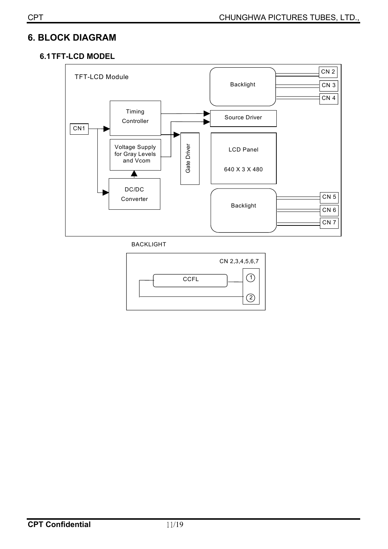## **6. BLOCK DIAGRAM**

## **6.1 TFT-LCD MODEL**



BACKLIGHT

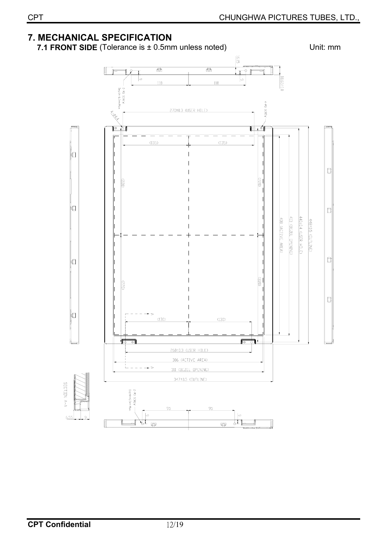#### **7. MECHANICAL SPECIFICATION 7.1 FRONT SIDE** (Tolerance is  $\pm$  0.5mm unless noted) Unit: mm  $\overline{\mathbb{G}}$  $\overline{\mathbb{Q}}$  $\mathbb I$ Æ  $\frac{18.65 \pm 1.0}{1}$ ∣。 ∣∞  $118$  $118$ S-M3 SCRE 4-M3 SCREW 270±0.3 (USER HOLE) **ANDREW**  $\overline{\bullet}$ ∥○  $(135)$  $(135)$ ⊓  $\Box$ G20 łО  $\Box$ 413 (BEZEL DPENING) 440±0.4 (USER HOLE) 408 (ACTIVE AREA) 448±0.5 (DUTLINE)  $\Box$ Ò  $(920)$ Ó ่่มี  $(130)$  $(130)$  $\sqrt{\circ}$ ₩ ╗ 260±0.3 (USER HOLE) 306 (ACTIVE AREA) └ - - - → > 311 (BEZEL OPENING) 347±0.5 (OUTLINE) SECTION A-A 2-M3 SCREW —<br>Depth=6.5mm Max 95 95  $\sim$  $\sqrt{ }$  $6.55$ I ग्र ╥  $\widehat{\mathbb{P}}$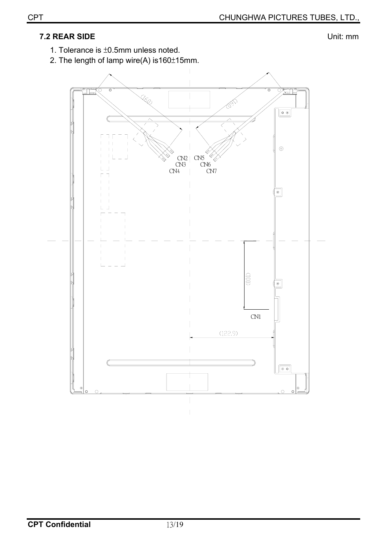## **7.2 REAR SIDE** Unit: mm

1. Tolerance is  $±0.5$ mm unless noted.

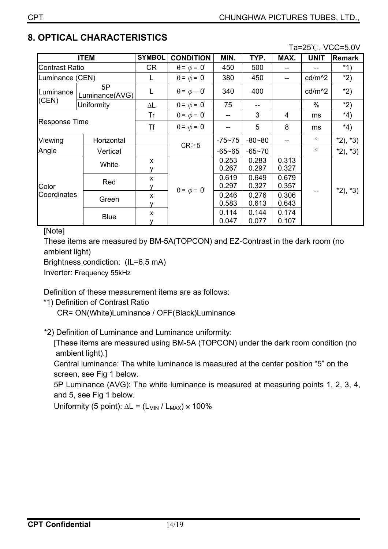## **8. OPTICAL CHARACTERISTICS**

Ta=25℃, VCC=5.0V

|                       | <b>ITEM</b>          | <b>SYMBOL</b> | <b>CONDITION</b>            | MIN.           | TYP.           | MAX.           | <b>UNIT</b>        | Remark    |
|-----------------------|----------------------|---------------|-----------------------------|----------------|----------------|----------------|--------------------|-----------|
| <b>Contrast Ratio</b> |                      | CR.           | $\theta = \phi = 0^{\circ}$ | 450            | 500            |                |                    | $*1)$     |
| Luminance (CEN)       |                      |               | $\theta = \phi = 0^{\circ}$ | 380            | 450            |                | cd/m <sup>^2</sup> | $*2)$     |
| Luminance             | 5P<br>Luminance(AVG) |               | $\theta = \phi = 0^{\circ}$ | 340            | 400            |                | cd/m <sup>^2</sup> | $*2)$     |
| (CEN)                 | Uniformity           | ΔL            | $\theta = \phi = 0^{\circ}$ | 75             | --             |                | $\%$               | $*2)$     |
|                       |                      | Tr            | $\theta = \phi = 0^{\circ}$ |                | 3              | $\overline{4}$ | ms                 | $*_{4}$   |
| <b>Response Time</b>  |                      | Τf            | $\theta = \phi = 0^{\circ}$ |                | 5              | 8              | ms                 | $*_{4}$   |
| Viewing               | Horizontal           |               |                             | $-75 - 75$     | $-80 - 80$     |                | $\circ$            | $*2, *3)$ |
| Angle                 | Vertical             |               | $CR \ge 5$                  | $-65 - 65$     | $-65 - 70$     |                | $\circ$            | $*2, *3)$ |
| Color<br>Coordinates  | White                | X             |                             | 0.253<br>0.267 | 0.283<br>0.297 | 0.313<br>0.327 |                    | $*2, *3)$ |
|                       | Red                  | X             |                             | 0.619<br>0.297 | 0.649<br>0.327 | 0.679<br>0.357 |                    |           |
|                       | Green                | X             | $\theta = \phi = 0^{\circ}$ | 0.246<br>0.583 | 0.276<br>0.613 | 0.306<br>0.643 |                    |           |
|                       | <b>Blue</b>          | X             |                             | 0.114<br>0.047 | 0.144<br>0.077 | 0.174<br>0.107 |                    |           |

[Note]

These items are measured by BM-5A(TOPCON) and EZ-Contrast in the dark room (no ambient light)

Brightness condiction: (IL=6.5 mA)

Inverter: Frequency 55kHz

Definition of these measurement items are as follows:

\*1) Definition of Contrast Ratio

CR= ON(White)Luminance / OFF(Black)Luminance

\*2) Definition of Luminance and Luminance uniformity:

[These items are measured using BM-5A (TOPCON) under the dark room condition (no ambient light).]

Central luminance: The white luminance is measured at the center position "5" on the screen, see Fig 1 below.

5P Luminance (AVG): The white luminance is measured at measuring points 1, 2, 3, 4, and 5, see Fig 1 below.

Uniformity (5 point):  $\Delta L = (L_{MIN} / L_{MAX}) \times 100\%$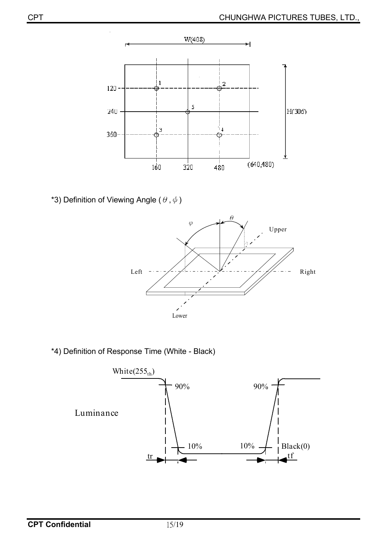

\*3) Definition of Viewing Angle ( $\theta$ ,  $\phi$ )



\*4) Definition of Response Time (White - Black)

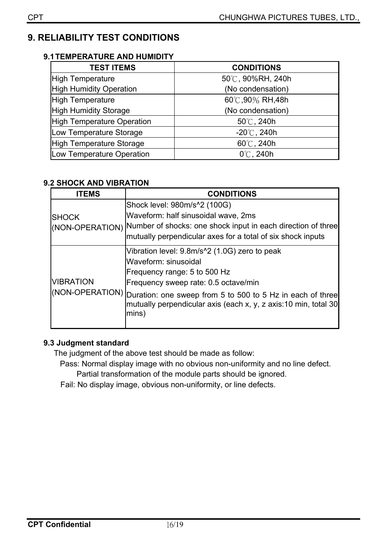## **9. RELIABILITY TEST CONDITIONS**

#### **9.1 TEMPERATURE AND HUMIDITY**

| <b>TEST ITEMS</b>                 | <b>CONDITIONS</b>     |
|-----------------------------------|-----------------------|
| <b>High Temperature</b>           | 50℃, 90%RH, 240h      |
| <b>High Humidity Operation</b>    | (No condensation)     |
| <b>High Temperature</b>           | 60℃,90% RH,48h        |
| <b>High Humidity Storage</b>      | (No condensation)     |
| <b>High Temperature Operation</b> | $50^{\circ}$ C, 240h  |
| Low Temperature Storage           | $-20^{\circ}$ C, 240h |
| High Temperature Storage          | $60^{\circ}$ C, 240h  |
| Low Temperature Operation         | $0^{\circ}$ C, 240h   |

## **9.2 SHOCK AND VIBRATION**

| ITEMS            | <b>CONDITIONS</b>                                                                                                                                                                                                               |
|------------------|---------------------------------------------------------------------------------------------------------------------------------------------------------------------------------------------------------------------------------|
| <b>ISHOCK</b>    | Shock level: 980m/s <sup>1</sup> 2 (100G)<br>Waveform: half sinusoidal wave, 2ms<br>(NON-OPERATION) Number of shocks: one shock input in each direction of three<br>mutually perpendicular axes for a total of six shock inputs |
| <b>VIBRATION</b> | Vibration level: 9.8m/s <sup>1</sup> 2 (1.0G) zero to peak<br>Waveform: sinusoidal<br>Frequency range: 5 to 500 Hz<br>Frequency sweep rate: 0.5 octave/min                                                                      |
|                  | (NON-OPERATION) Duration: one sweep from 5 to 500 to 5 Hz in each of three<br>mutually perpendicular axis (each x, y, z axis:10 min, total 30<br>mins)                                                                          |

## **9.3 Judgment standard**

The judgment of the above test should be made as follow:

Pass: Normal display image with no obvious non-uniformity and no line defect. Partial transformation of the module parts should be ignored.

Fail: No display image, obvious non-uniformity, or line defects.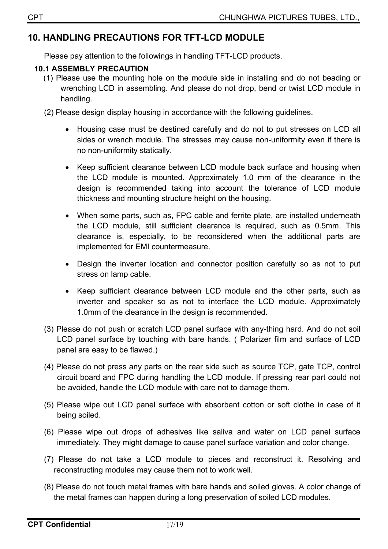## **10. HANDLING PRECAUTIONS FOR TFT-LCD MODULE**

Please pay attention to the followings in handling TFT-LCD products.

## **10.1 ASSEMBLY PRECAUTION**

- (1) Please use the mounting hole on the module side in installing and do not beading or wrenching LCD in assembling. And please do not drop, bend or twist LCD module in handling.
- (2) Please design display housing in accordance with the following guidelines.
	- x Housing case must be destined carefully and do not to put stresses on LCD all sides or wrench module. The stresses may cause non-uniformity even if there is no non-uniformity statically.
	- Keep sufficient clearance between LCD module back surface and housing when the LCD module is mounted. Approximately 1.0 mm of the clearance in the design is recommended taking into account the tolerance of LCD module thickness and mounting structure height on the housing.
	- When some parts, such as, FPC cable and ferrite plate, are installed underneath the LCD module, still sufficient clearance is required, such as 0.5mm. This clearance is, especially, to be reconsidered when the additional parts are implemented for EMI countermeasure.
	- Design the inverter location and connector position carefully so as not to put stress on lamp cable.
	- Keep sufficient clearance between LCD module and the other parts, such as inverter and speaker so as not to interface the LCD module. Approximately 1.0mm of the clearance in the design is recommended.
- (3) Please do not push or scratch LCD panel surface with any-thing hard. And do not soil LCD panel surface by touching with bare hands. ( Polarizer film and surface of LCD panel are easy to be flawed.)
- (4) Please do not press any parts on the rear side such as source TCP, gate TCP, control circuit board and FPC during handling the LCD module. If pressing rear part could not be avoided, handle the LCD module with care not to damage them.
- (5) Please wipe out LCD panel surface with absorbent cotton or soft clothe in case of it being soiled.
- (6) Please wipe out drops of adhesives like saliva and water on LCD panel surface immediately. They might damage to cause panel surface variation and color change.
- (7) Please do not take a LCD module to pieces and reconstruct it. Resolving and reconstructing modules may cause them not to work well.
- (8) Please do not touch metal frames with bare hands and soiled gloves. A color change of the metal frames can happen during a long preservation of soiled LCD modules.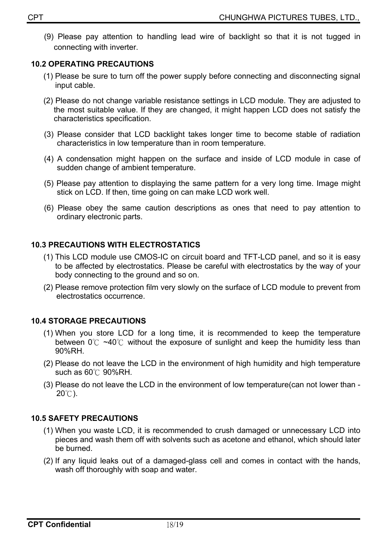(9) Please pay attention to handling lead wire of backlight so that it is not tugged in connecting with inverter.

#### **10.2 OPERATING PRECAUTIONS**

- (1) Please be sure to turn off the power supply before connecting and disconnecting signal input cable.
- (2) Please do not change variable resistance settings in LCD module. They are adjusted to the most suitable value. If they are changed, it might happen LCD does not satisfy the characteristics specification.
- (3) Please consider that LCD backlight takes longer time to become stable of radiation characteristics in low temperature than in room temperature.
- (4) A condensation might happen on the surface and inside of LCD module in case of sudden change of ambient temperature.
- (5) Please pay attention to displaying the same pattern for a very long time. Image might stick on LCD. If then, time going on can make LCD work well.
- (6) Please obey the same caution descriptions as ones that need to pay attention to ordinary electronic parts.

#### **10.3 PRECAUTIONS WITH ELECTROSTATICS**

- (1) This LCD module use CMOS-IC on circuit board and TFT-LCD panel, and so it is easy to be affected by electrostatics. Please be careful with electrostatics by the way of your body connecting to the ground and so on.
- (2) Please remove protection film very slowly on the surface of LCD module to prevent from electrostatics occurrence.

## **10.4 STORAGE PRECAUTIONS**

- (1) When you store LCD for a long time, it is recommended to keep the temperature between  $0^\circ$  ~40°C without the exposure of sunlight and keep the humidity less than 90%RH.
- (2) Please do not leave the LCD in the environment of high humidity and high temperature such as  $60^{\circ}$ C 90%RH.
- (3) Please do not leave the LCD in the environment of low temperature(can not lower than  $20^{\circ}$ C).

## **10.5 SAFETY PRECAUTIONS**

- (1) When you waste LCD, it is recommended to crush damaged or unnecessary LCD into pieces and wash them off with solvents such as acetone and ethanol, which should later be burned.
- (2) If any liquid leaks out of a damaged-glass cell and comes in contact with the hands, wash off thoroughly with soap and water.